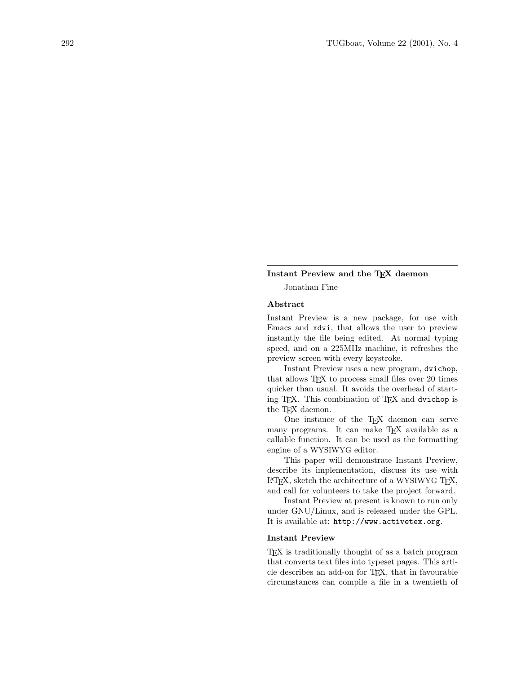### Instant Preview and the TEX daemon

Jonathan Fine

### Abstract

Instant Preview is a new package, for use with Emacs and xdvi, that allows the user to preview instantly the file being edited. At normal typing speed, and on a 225MHz machine, it refreshes the preview screen with every keystroke.

Instant Preview uses a new program, dvichop, that allows TEX to process small files over 20 times quicker than usual. It avoids the overhead of starting TEX. This combination of TEX and dvichop is the T<sub>F</sub>X daemon.

One instance of the TEX daemon can serve many programs. It can make TEX available as a callable function. It can be used as the formatting engine of a WYSIWYG editor.

This paper will demonstrate Instant Preview, describe its implementation, discuss its use with LATEX, sketch the architecture of a WYSIWYG TEX, and call for volunteers to take the project forward.

Instant Preview at present is known to run only under GNU/Linux, and is released under the GPL. It is available at: http://www.activetex.org.

### Instant Preview

TEX is traditionally thought of as a batch program that converts text files into typeset pages. This article describes an add-on for TEX, that in favourable circumstances can compile a file in a twentieth of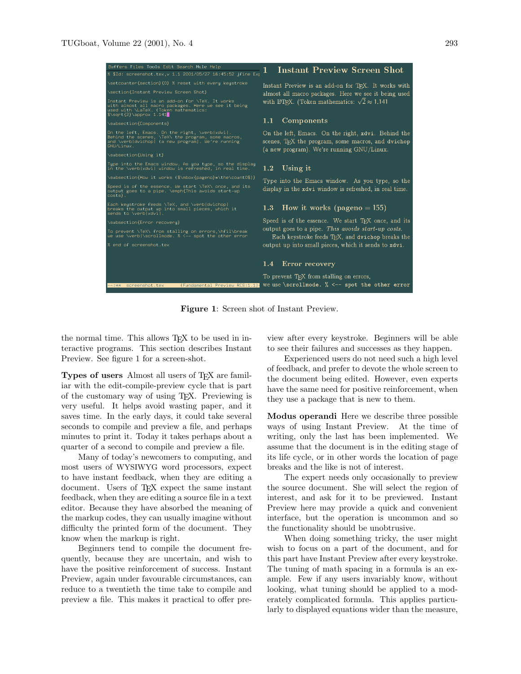

Figure 1: Screen shot of Instant Preview.

the normal time. This allows TEX to be used in interactive programs. This section describes Instant Preview. See figure 1 for a screen-shot.

Types of users Almost all users of T<sub>F</sub>X are familiar with the edit-compile-preview cycle that is part of the customary way of using TEX. Previewing is very useful. It helps avoid wasting paper, and it saves time. In the early days, it could take several seconds to compile and preview a file, and perhaps minutes to print it. Today it takes perhaps about a quarter of a second to compile and preview a file.

Many of today's newcomers to computing, and most users of WYSIWYG word processors, expect to have instant feedback, when they are editing a document. Users of T<sub>E</sub>X expect the same instant feedback, when they are editing a source file in a text editor. Because they have absorbed the meaning of the markup codes, they can usually imagine without difficulty the printed form of the document. They know when the markup is right.

Beginners tend to compile the document frequently, because they are uncertain, and wish to have the positive reinforcement of success. Instant Preview, again under favourable circumstances, can reduce to a twentieth the time take to compile and preview a file. This makes it practical to offer preview after every keystroke. Beginners will be able to see their failures and successes as they happen.

Experienced users do not need such a high level of feedback, and prefer to devote the whole screen to the document being edited. However, even experts have the same need for positive reinforcement, when they use a package that is new to them.

Modus operandi Here we describe three possible ways of using Instant Preview. At the time of writing, only the last has been implemented. We assume that the document is in the editing stage of its life cycle, or in other words the location of page breaks and the like is not of interest.

The expert needs only occasionally to preview the source document. She will select the region of interest, and ask for it to be previewed. Instant Preview here may provide a quick and convenient interface, but the operation is uncommon and so the functionality should be unobtrusive.

When doing something tricky, the user might wish to focus on a part of the document, and for this part have Instant Preview after every keystroke. The tuning of math spacing in a formula is an example. Few if any users invariably know, without looking, what tuning should be applied to a moderately complicated formula. This applies particularly to displayed equations wider than the measure,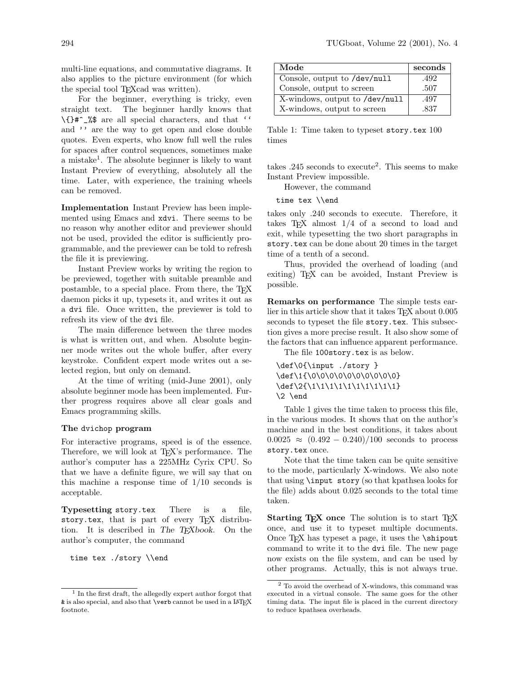multi-line equations, and commutative diagrams. It also applies to the picture environment (for which the special tool TEXcad was written).

For the beginner, everything is tricky, even straight text. The beginner hardly knows that \{}#^\_%\$ are all special characters, and that '' and '' are the way to get open and close double quotes. Even experts, who know full well the rules for spaces after control sequences, sometimes make a mistake<sup>1</sup>. The absolute beginner is likely to want Instant Preview of everything, absolutely all the time. Later, with experience, the training wheels can be removed.

Implementation Instant Preview has been implemented using Emacs and xdvi. There seems to be no reason why another editor and previewer should not be used, provided the editor is sufficiently programmable, and the previewer can be told to refresh the file it is previewing.

Instant Preview works by writing the region to be previewed, together with suitable preamble and postamble, to a special place. From there, the TEX daemon picks it up, typesets it, and writes it out as a dvi file. Once written, the previewer is told to refresh its view of the dvi file.

The main difference between the three modes is what is written out, and when. Absolute beginner mode writes out the whole buffer, after every keystroke. Confident expert mode writes out a selected region, but only on demand.

At the time of writing (mid-June 2001), only absolute beginner mode has been implemented. Further progress requires above all clear goals and Emacs programming skills.

#### The dvichop program

For interactive programs, speed is of the essence. Therefore, we will look at T<sub>EX</sub>'s performance. The author's computer has a 225MHz Cyrix CPU. So that we have a definite figure, we will say that on this machine a response time of  $1/10$  seconds is acceptable.

Typesetting story.tex There is a file, story.tex, that is part of every TEX distribution. It is described in The T<sub>E</sub>Xbook. On the author's computer, the command

time tex ./story \\end

| Mode                           | seconds |
|--------------------------------|---------|
| Console, output to /dev/null   | .492    |
| Console, output to screen      | .507    |
| X-windows, output to /dev/null | .497    |
| X-windows, output to screen    | .837    |

Table 1: Time taken to typeset story.tex 100 times

takes  $.245$  seconds to execute<sup>2</sup>. This seems to make Instant Preview impossible.

However, the command

time tex \\end

takes only .240 seconds to execute. Therefore, it takes  $TEX$  almost  $1/4$  of a second to load and exit, while typesetting the two short paragraphs in story.tex can be done about 20 times in the target time of a tenth of a second.

Thus, provided the overhead of loading (and exiting) T<sub>F</sub>X can be avoided, Instant Preview is possible.

Remarks on performance The simple tests earlier in this article show that it takes T<sub>E</sub>X about 0.005 seconds to typeset the file story.tex. This subsection gives a more precise result. It also show some of the factors that can influence apparent performance.

The file 100story.tex is as below.

```
\def\0{\input ./story }
\def\1{\0\0\0\0\0\0\0\0\0\0\0}
\def\2{\1\1\1\1\1\1\1\1\1\1\1
\2 \end
```
Table 1 gives the time taken to process this file, in the various modes. It shows that on the author's machine and in the best conditions, it takes about  $0.0025 \approx (0.492 - 0.240)/100$  seconds to process story.tex once.

Note that the time taken can be quite sensitive to the mode, particularly X-windows. We also note that using \input story (so that kpathsea looks for the file) adds about 0.025 seconds to the total time taken.

Starting T<sub>E</sub>X once The solution is to start T<sub>E</sub>X once, and use it to typeset multiple documents. Once TEX has typeset a page, it uses the \shipout command to write it to the dvi file. The new page now exists on the file system, and can be used by other programs. Actually, this is not always true.

<sup>1</sup> In the first draft, the allegedly expert author forgot that & is also special, and also that \verb cannot be used in a LATEX footnote.

 $^2$  To avoid the overhead of X-windows, this command was executed in a virtual console. The same goes for the other timing data. The input file is placed in the current directory to reduce kpathsea overheads.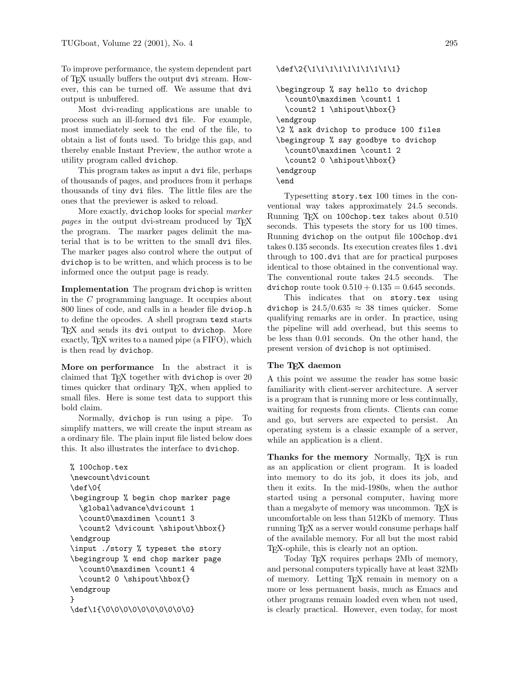To improve performance, the system dependent part of TEX usually buffers the output dvi stream. However, this can be turned off. We assume that dvi output is unbuffered.

Most dvi-reading applications are unable to process such an ill-formed dvi file. For example, most immediately seek to the end of the file, to obtain a list of fonts used. To bridge this gap, and thereby enable Instant Preview, the author wrote a utility program called dvichop.

This program takes as input a dvi file, perhaps of thousands of pages, and produces from it perhaps thousands of tiny dvi files. The little files are the ones that the previewer is asked to reload.

More exactly, dvichop looks for special marker pages in the output dvi-stream produced by TFX the program. The marker pages delimit the material that is to be written to the small dvi files. The marker pages also control where the output of dvichop is to be written, and which process is to be informed once the output page is ready.

Implementation The program dvichop is written in the C programming language. It occupies about 800 lines of code, and calls in a header file dviop.h to define the opcodes. A shell program texd starts TEX and sends its dvi output to dvichop. More exactly, TEX writes to a named pipe (a FIFO), which is then read by dvichop.

More on performance In the abstract it is claimed that  $T_{\text{F}}X$  together with dvichop is over 20 times quicker that ordinary T<sub>E</sub>X, when applied to small files. Here is some test data to support this bold claim.

Normally, dvichop is run using a pipe. To simplify matters, we will create the input stream as a ordinary file. The plain input file listed below does this. It also illustrates the interface to dvichop.

```
% 100chop.tex
\newcount\dvicount
\def\0{
\begingroup % begin chop marker page
  \global\advance\dvicount 1
  \count0\maxdimen \count1 3
  \count2 \dvicount \shipout\hbox{}
\endgroup
\input ./story % typeset the story
\begingroup % end chop marker page
  \count0\maxdimen \count1 4
  \count2 0 \shipout\hbox{}
\endgroup
}
\def\1{\0\0\0\0\0\0\0\0\0\0\0}
```
\def\2{\1\1\1\1\1\1\1\1\1\1\1}

```
\begingroup % say hello to dvichop
  \count0\maxdimen \count1 1
  \count2 1 \shipout\hbox{}
\endgroup
\2 % ask dvichop to produce 100 files
\begingroup % say goodbye to dvichop
  \count0\maxdimen \count1 2
  \count2 0 \shipout\hbox{}
\endgroup
\end
```
Typesetting story.tex 100 times in the conventional way takes approximately 24.5 seconds. Running TEX on 100chop.tex takes about 0.510 seconds. This typesets the story for us 100 times. Running dvichop on the output file 100chop.dvi takes 0.135 seconds. Its execution creates files 1.dvi through to 100.dvi that are for practical purposes identical to those obtained in the conventional way. The conventional route takes 24.5 seconds. The dvichop route took  $0.510 + 0.135 = 0.645$  seconds.

This indicates that on story.tex using dvichop is  $24.5/0.635 \approx 38$  times quicker. Some qualifying remarks are in order. In practice, using the pipeline will add overhead, but this seems to be less than 0.01 seconds. On the other hand, the present version of dvichop is not optimised.

## The TEX daemon

A this point we assume the reader has some basic familiarity with client-server architecture. A server is a program that is running more or less continually, waiting for requests from clients. Clients can come and go, but servers are expected to persist. An operating system is a classic example of a server, while an application is a client.

Thanks for the memory Normally, TFX is run as an application or client program. It is loaded into memory to do its job, it does its job, and then it exits. In the mid-1980s, when the author started using a personal computer, having more than a megabyte of memory was uncommon. T<sub>F</sub>X is uncomfortable on less than 512Kb of memory. Thus running TEX as a server would consume perhaps half of the available memory. For all but the most rabid TEX-ophile, this is clearly not an option.

Today TEX requires perhaps 2Mb of memory, and personal computers typically have at least 32Mb of memory. Letting TEX remain in memory on a more or less permanent basis, much as Emacs and other programs remain loaded even when not used, is clearly practical. However, even today, for most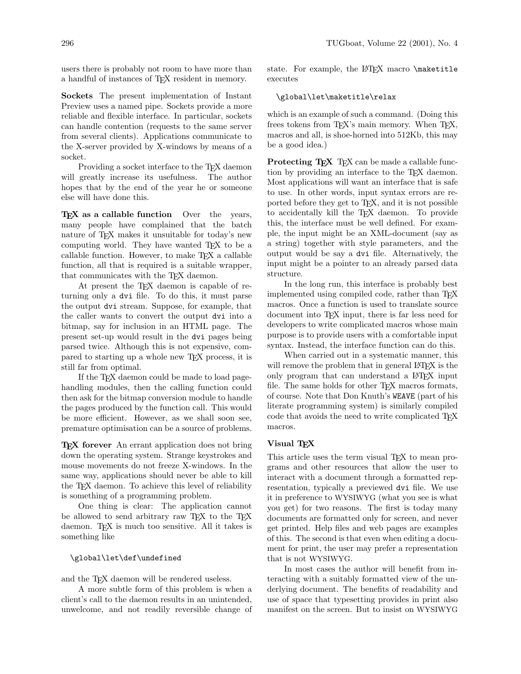users there is probably not room to have more than a handful of instances of TEX resident in memory.

Sockets The present implementation of Instant Preview uses a named pipe. Sockets provide a more reliable and flexible interface. In particular, sockets can handle contention (requests to the same server from several clients). Applications communicate to the X-server provided by X-windows by means of a socket.

Providing a socket interface to the T<sub>E</sub>X daemon will greatly increase its usefulness. The author hopes that by the end of the year he or someone else will have done this.

 $TFX$  as a callable function Over the years, many people have complained that the batch nature of TEX makes it unsuitable for today's new computing world. They have wanted T<sub>EX</sub> to be a callable function. However, to make  $T<sub>F</sub>X$  a callable function, all that is required is a suitable wrapper, that communicates with the T<sub>E</sub>X daemon.

At present the T<sub>E</sub>X daemon is capable of returning only a dvi file. To do this, it must parse the output dvi stream. Suppose, for example, that the caller wants to convert the output dvi into a bitmap, say for inclusion in an HTML page. The present set-up would result in the dvi pages being parsed twice. Although this is not expensive, compared to starting up a whole new TEX process, it is still far from optimal.

If the T<sub>EX</sub> daemon could be made to load pagehandling modules, then the calling function could then ask for the bitmap conversion module to handle the pages produced by the function call. This would be more efficient. However, as we shall soon see, premature optimisation can be a source of problems.

TEX forever An errant application does not bring down the operating system. Strange keystrokes and mouse movements do not freeze X-windows. In the same way, applications should never be able to kill the TEX daemon. To achieve this level of reliability is something of a programming problem.

One thing is clear: The application cannot be allowed to send arbitrary raw TEX to the TEX daemon. TEX is much too sensitive. All it takes is something like

# \global\let\def\undefined

and the T<sub>F</sub>X daemon will be rendered useless.

A more subtle form of this problem is when a client's call to the daemon results in an unintended, unwelcome, and not readily reversible change of state. For example, the LATFX macro \maketitle executes

### \global\let\maketitle\relax

which is an example of such a command. (Doing this frees tokens from TEX's main memory. When TEX, macros and all, is shoe-horned into 512Kb, this may be a good idea.)

**Protecting TEX** TEX can be made a callable function by providing an interface to the T<sub>E</sub>X daemon. Most applications will want an interface that is safe to use. In other words, input syntax errors are reported before they get to TEX, and it is not possible to accidentally kill the TEX daemon. To provide this, the interface must be well defined. For example, the input might be an XML-document (say as a string) together with style parameters, and the output would be say a dvi file. Alternatively, the input might be a pointer to an already parsed data structure.

In the long run, this interface is probably best implemented using compiled code, rather than TEX macros. Once a function is used to translate source document into TEX input, there is far less need for developers to write complicated macros whose main purpose is to provide users with a comfortable input syntax. Instead, the interface function can do this.

When carried out in a systematic manner, this will remove the problem that in general LAT<sub>EX</sub> is the only program that can understand a LATEX input file. The same holds for other T<sub>F</sub>X macros formats, of course. Note that Don Knuth's WEAVE (part of his literate programming system) is similarly compiled code that avoids the need to write complicated TEX macros.

# Visual TEX

This article uses the term visual T<sub>EX</sub> to mean programs and other resources that allow the user to interact with a document through a formatted representation, typically a previewed dvi file. We use it in preference to WYSIWYG (what you see is what you get) for two reasons. The first is today many documents are formatted only for screen, and never get printed. Help files and web pages are examples of this. The second is that even when editing a document for print, the user may prefer a representation that is not WYSIWYG.

In most cases the author will benefit from interacting with a suitably formatted view of the underlying document. The benefits of readability and use of space that typesetting provides in print also manifest on the screen. But to insist on WYSIWYG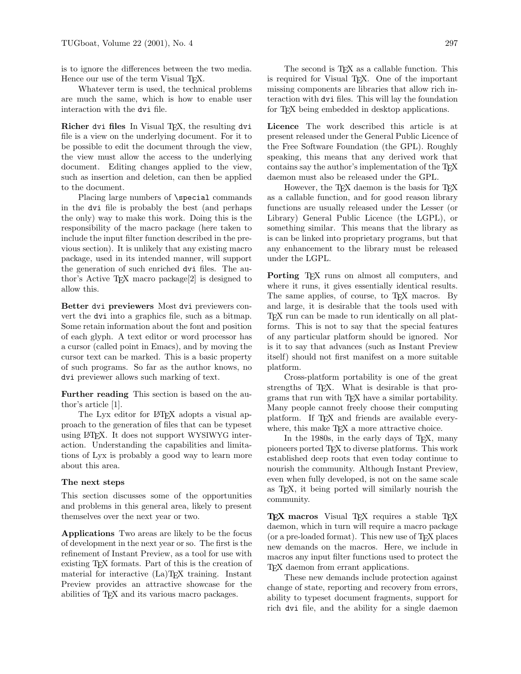is to ignore the differences between the two media. Hence our use of the term Visual T<sub>E</sub>X.

Whatever term is used, the technical problems are much the same, which is how to enable user interaction with the dvi file.

Richer dvi files In Visual TEX, the resulting dvi file is a view on the underlying document. For it to be possible to edit the document through the view, the view must allow the access to the underlying document. Editing changes applied to the view, such as insertion and deletion, can then be applied to the document.

Placing large numbers of **\special** commands in the dvi file is probably the best (and perhaps the only) way to make this work. Doing this is the responsibility of the macro package (here taken to include the input filter function described in the previous section). It is unlikely that any existing macro package, used in its intended manner, will support the generation of such enriched dvi files. The author's Active TEX macro package[2] is designed to allow this.

Better dvi previewers Most dvi previewers convert the dvi into a graphics file, such as a bitmap. Some retain information about the font and position of each glyph. A text editor or word processor has a cursor (called point in Emacs), and by moving the cursor text can be marked. This is a basic property of such programs. So far as the author knows, no dvi previewer allows such marking of text.

Further reading This section is based on the author's article [1].

The Lyx editor for L<sup>AT</sup>F<sub>X</sub> adopts a visual approach to the generation of files that can be typeset using LATEX. It does not support WYSIWYG interaction. Understanding the capabilities and limitations of Lyx is probably a good way to learn more about this area.

### The next steps

This section discusses some of the opportunities and problems in this general area, likely to present themselves over the next year or two.

Applications Two areas are likely to be the focus of development in the next year or so. The first is the refinement of Instant Preview, as a tool for use with existing TEX formats. Part of this is the creation of material for interactive (La)TEX training. Instant Preview provides an attractive showcase for the abilities of TEX and its various macro packages.

The second is T<sub>E</sub>X as a callable function. This is required for Visual TEX. One of the important missing components are libraries that allow rich interaction with dvi files. This will lay the foundation for T<sub>F</sub>X being embedded in desktop applications.

Licence The work described this article is at present released under the General Public Licence of the Free Software Foundation (the GPL). Roughly speaking, this means that any derived work that contains say the author's implementation of the TEX daemon must also be released under the GPL.

However, the T<sub>E</sub>X daemon is the basis for T<sub>E</sub>X as a callable function, and for good reason library functions are usually released under the Lesser (or Library) General Public Licence (the LGPL), or something similar. This means that the library as is can be linked into proprietary programs, but that any enhancement to the library must be released under the LGPL.

Porting T<sub>F</sub>X runs on almost all computers, and where it runs, it gives essentially identical results. The same applies, of course, to T<sub>EX</sub> macros. By and large, it is desirable that the tools used with TEX run can be made to run identically on all platforms. This is not to say that the special features of any particular platform should be ignored. Nor is it to say that advances (such as Instant Preview itself) should not first manifest on a more suitable platform.

Cross-platform portability is one of the great strengths of T<sub>F</sub>X. What is desirable is that programs that run with TEX have a similar portability. Many people cannot freely choose their computing platform. If T<sub>F</sub>X and friends are available everywhere, this make T<sub>E</sub>X a more attractive choice.

In the 1980s, in the early days of T<sub>E</sub>X, many pioneers ported TEX to diverse platforms. This work established deep roots that even today continue to nourish the community. Although Instant Preview, even when fully developed, is not on the same scale as TEX, it being ported will similarly nourish the community.

TEX macros Visual TEX requires a stable TEX daemon, which in turn will require a macro package (or a pre-loaded format). This new use of  $T_F X$  places new demands on the macros. Here, we include in macros any input filter functions used to protect the TEX daemon from errant applications.

These new demands include protection against change of state, reporting and recovery from errors, ability to typeset document fragments, support for rich dvi file, and the ability for a single daemon